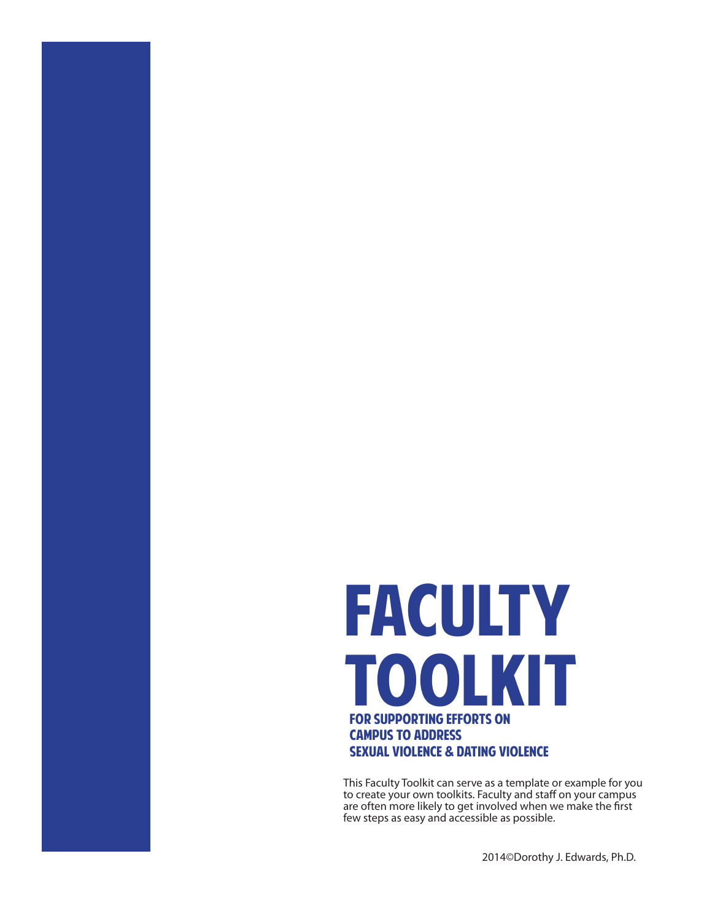# **FACULTY** Toolkit for supporting efforts on campus to address sexual violence & dating violence

This Faculty Toolkit can serve as a template or example for you to create your own toolkits. Faculty and staff on your campus are often more likely to get involved when we make the first few steps as easy and accessible as possible.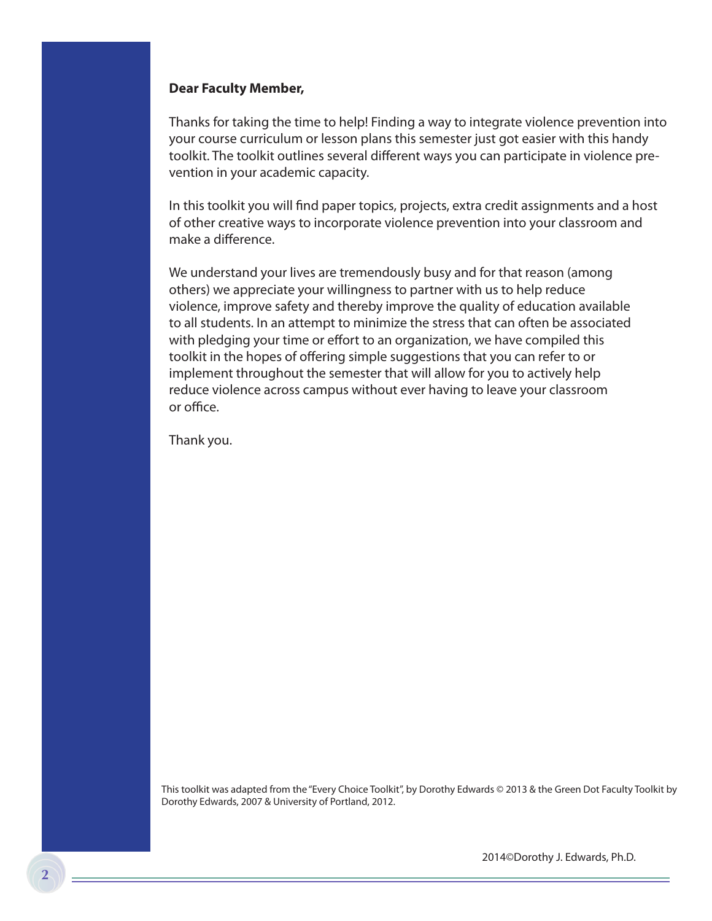#### **Dear Faculty Member,**

Thanks for taking the time to help! Finding a way to integrate violence prevention into your course curriculum or lesson plans this semester just got easier with this handy toolkit. The toolkit outlines several different ways you can participate in violence prevention in your academic capacity.

In this toolkit you will find paper topics, projects, extra credit assignments and a host of other creative ways to incorporate violence prevention into your classroom and make a difference.

We understand your lives are tremendously busy and for that reason (among others) we appreciate your willingness to partner with us to help reduce violence, improve safety and thereby improve the quality of education available to all students. In an attempt to minimize the stress that can often be associated with pledging your time or effort to an organization, we have compiled this toolkit in the hopes of offering simple suggestions that you can refer to or implement throughout the semester that will allow for you to actively help reduce violence across campus without ever having to leave your classroom or office.

Thank you.

This toolkit was adapted from the "Every Choice Toolkit", by Dorothy Edwards © 2013 & the Green Dot Faculty Toolkit by Dorothy Edwards, 2007 & University of Portland, 2012.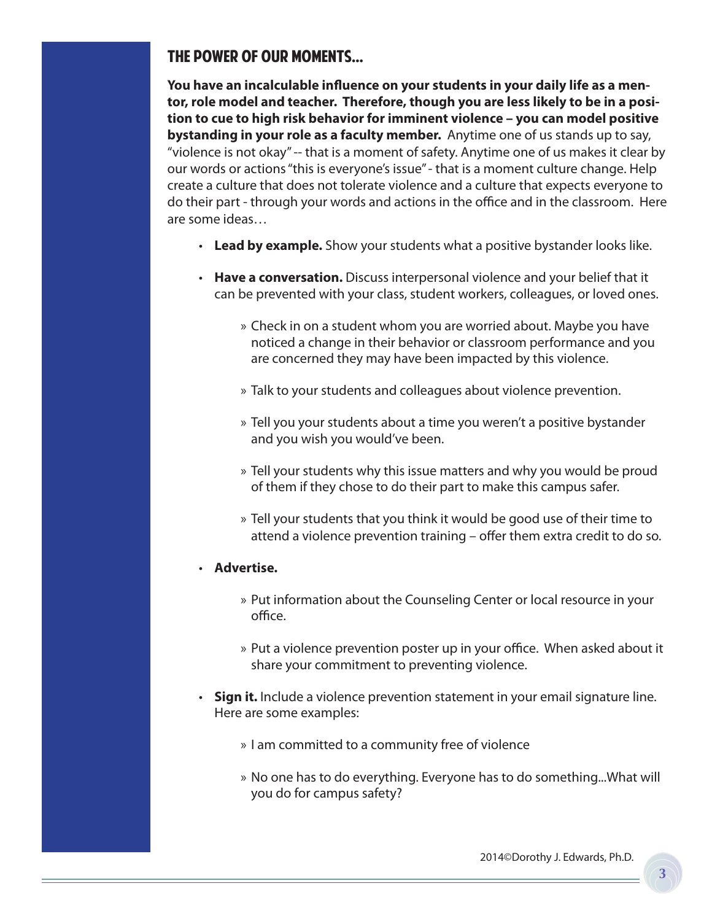### The power of our moments...

**You have an incalculable influence on your students in your daily life as a mentor, role model and teacher. Therefore, though you are less likely to be in a position to cue to high risk behavior for imminent violence – you can model positive bystanding in your role as a faculty member.** Anytime one of us stands up to say, "violence is not okay" -- that is a moment of safety. Anytime one of us makes it clear by our words or actions "this is everyone's issue" - that is a moment culture change. Help create a culture that does not tolerate violence and a culture that expects everyone to do their part - through your words and actions in the office and in the classroom. Here are some ideas…

- • **Lead by example.** Show your students what a positive bystander looks like.
- • **Have a conversation.** Discuss interpersonal violence and your belief that it can be prevented with your class, student workers, colleagues, or loved ones.
	- » Check in on a student whom you are worried about. Maybe you have noticed a change in their behavior or classroom performance and you are concerned they may have been impacted by this violence.
	- » Talk to your students and colleagues about violence prevention.
	- » Tell you your students about a time you weren't a positive bystander and you wish you would've been.
	- » Tell your students why this issue matters and why you would be proud of them if they chose to do their part to make this campus safer.
	- » Tell your students that you think it would be good use of their time to attend a violence prevention training – offer them extra credit to do so.
- • **Advertise.**
	- » Put information about the Counseling Center or local resource in your office.
	- » Put a violence prevention poster up in your office. When asked about it share your commitment to preventing violence.
- Sign it. Include a violence prevention statement in your email signature line. Here are some examples:
	- » I am committed to a community free of violence
	- » No one has to do everything. Everyone has to do something...What will you do for campus safety?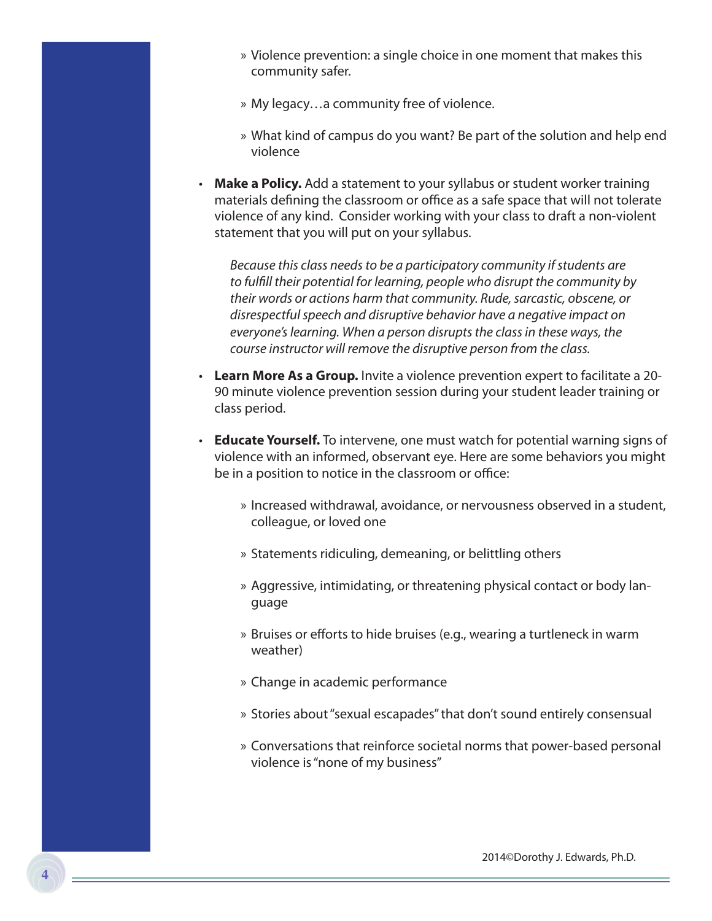- » Violence prevention: a single choice in one moment that makes this community safer.
- » My legacy…a community free of violence.
- » What kind of campus do you want? Be part of the solution and help end violence
- Make a Policy. Add a statement to your syllabus or student worker training materials defining the classroom or office as a safe space that will not tolerate violence of any kind. Consider working with your class to draft a non-violent statement that you will put on your syllabus.

*Because this class needs to be a participatory community if students are to fulfill their potential for learning, people who disrupt the community by their words or actions harm that community. Rude, sarcastic, obscene, or disrespectful speech and disruptive behavior have a negative impact on everyone's learning. When a person disrupts the class in these ways, the course instructor will remove the disruptive person from the class.*

- • **Learn More As a Group.** Invite a violence prevention expert to facilitate a 20- 90 minute violence prevention session during your student leader training or class period.
- **Educate Yourself.** To intervene, one must watch for potential warning signs of violence with an informed, observant eye. Here are some behaviors you might be in a position to notice in the classroom or office:
	- » Increased withdrawal, avoidance, or nervousness observed in a student, colleague, or loved one
	- » Statements ridiculing, demeaning, or belittling others
	- » Aggressive, intimidating, or threatening physical contact or body language
	- » Bruises or efforts to hide bruises (e.g., wearing a turtleneck in warm weather)
	- » Change in academic performance
	- » Stories about "sexual escapades" that don't sound entirely consensual
	- » Conversations that reinforce societal norms that power-based personal violence is "none of my business"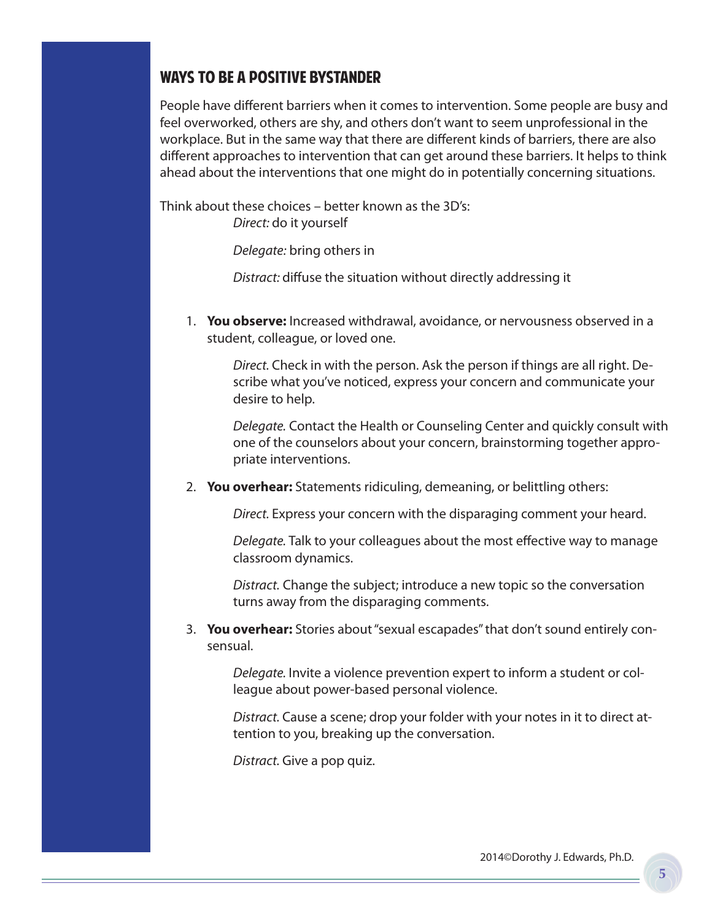#### Ways to be a positive bystander

People have different barriers when it comes to intervention. Some people are busy and feel overworked, others are shy, and others don't want to seem unprofessional in the workplace. But in the same way that there are different kinds of barriers, there are also different approaches to intervention that can get around these barriers. It helps to think ahead about the interventions that one might do in potentially concerning situations.

Think about these choices – better known as the 3D's: *Direct:* do it yourself

*Delegate:* bring others in

*Distract:* diffuse the situation without directly addressing it

1. **You observe:** Increased withdrawal, avoidance, or nervousness observed in a student, colleague, or loved one.

*Direct.* Check in with the person. Ask the person if things are all right. Describe what you've noticed, express your concern and communicate your desire to help.

*Delegate.* Contact the Health or Counseling Center and quickly consult with one of the counselors about your concern, brainstorming together appropriate interventions.

2. **You overhear:** Statements ridiculing, demeaning, or belittling others:

*Direct.* Express your concern with the disparaging comment your heard.

*Delegate.* Talk to your colleagues about the most effective way to manage classroom dynamics.

*Distract.* Change the subject; introduce a new topic so the conversation turns away from the disparaging comments.

3. **You overhear:** Stories about "sexual escapades" that don't sound entirely consensual.

*Delegate.* Invite a violence prevention expert to inform a student or colleague about power-based personal violence.

*Distract.* Cause a scene; drop your folder with your notes in it to direct attention to you, breaking up the conversation.

*Distract.* Give a pop quiz.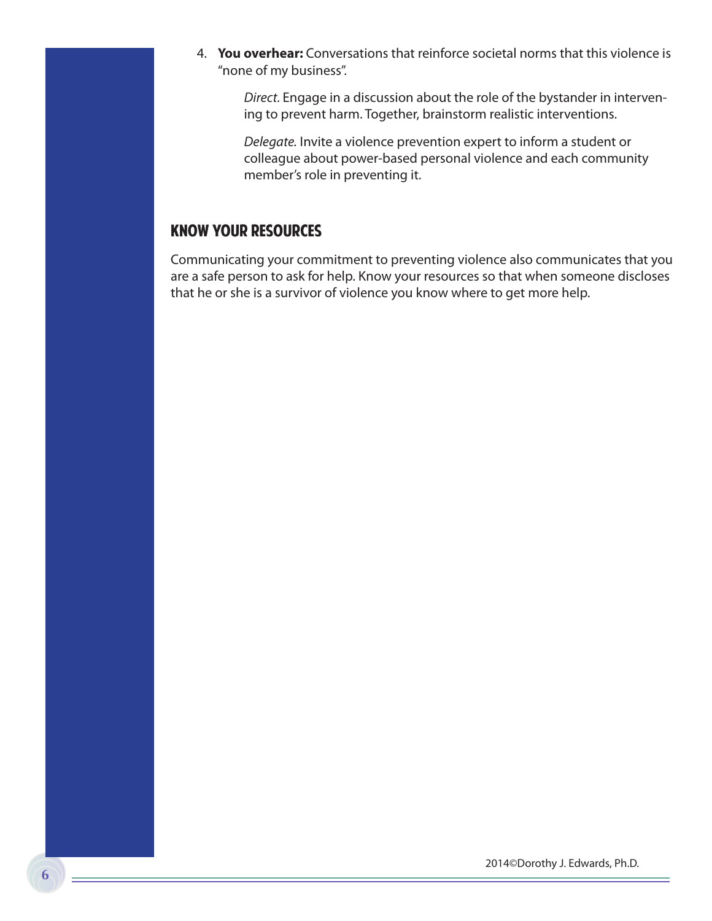4. **You overhear:** Conversations that reinforce societal norms that this violence is "none of my business".

*Direct.* Engage in a discussion about the role of the bystander in intervening to prevent harm. Together, brainstorm realistic interventions.

*Delegate.* Invite a violence prevention expert to inform a student or colleague about power-based personal violence and each community member's role in preventing it.

#### Know Your Resources

Communicating your commitment to preventing violence also communicates that you are a safe person to ask for help. Know your resources so that when someone discloses that he or she is a survivor of violence you know where to get more help.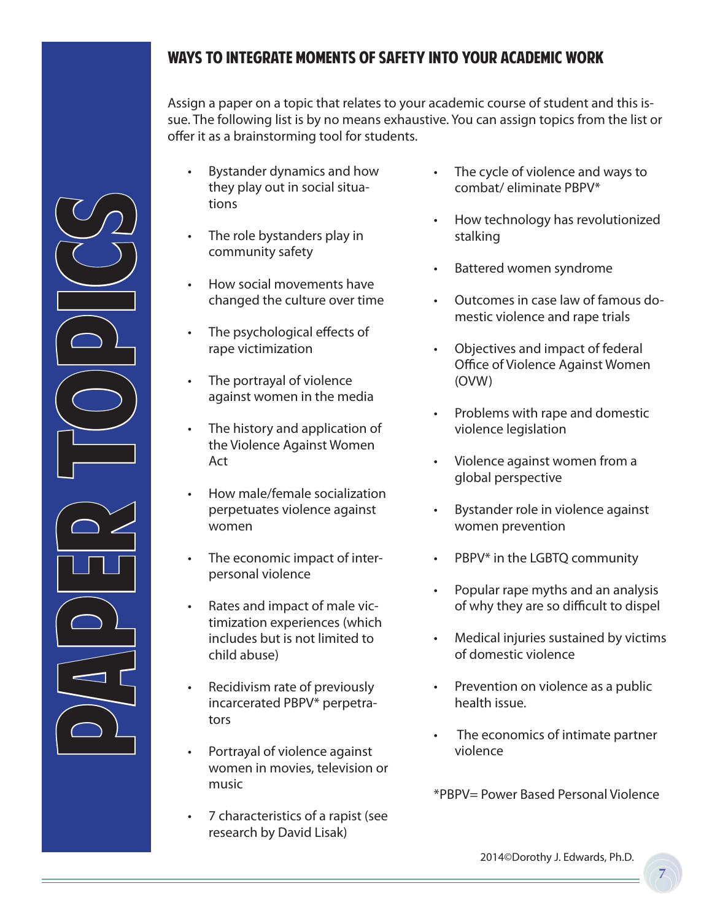#### ways to integrate moments of safety into your academic work

Assign a paper on a topic that relates to your academic course of student and this issue. The following list is by no means exhaustive. You can assign topics from the list or offer it as a brainstorming tool for students.

- Bystander dynamics and how they play out in social situations
- The role bystanders play in community safety
- How social movements have changed the culture over time
- The psychological effects of rape victimization
- The portrayal of violence against women in the media
- The history and application of the Violence Against Women Act

PAPER PROJUS

- How male/female socialization perpetuates violence against women
- The economic impact of interpersonal violence
- Rates and impact of male victimization experiences (which includes but is not limited to child abuse)
- Recidivism rate of previously incarcerated PBPV\* perpetrators
- Portrayal of violence against women in movies, television or music
- 7 characteristics of a rapist (see research by David Lisak)
- The cycle of violence and ways to combat/ eliminate PBPV\*
- How technology has revolutionized stalking
- • Battered women syndrome
- Outcomes in case law of famous domestic violence and rape trials
- Objectives and impact of federal Office of Violence Against Women (OVW)
- • Problems with rape and domestic violence legislation
- • Violence against women from a global perspective
- • Bystander role in violence against women prevention
- PBPV\* in the LGBTQ community
- • Popular rape myths and an analysis of why they are so difficult to dispel
- • Medical injuries sustained by victims of domestic violence
- Prevention on violence as a public health issue.
- The economics of intimate partner violence

\*PBPV= Power Based Personal Violence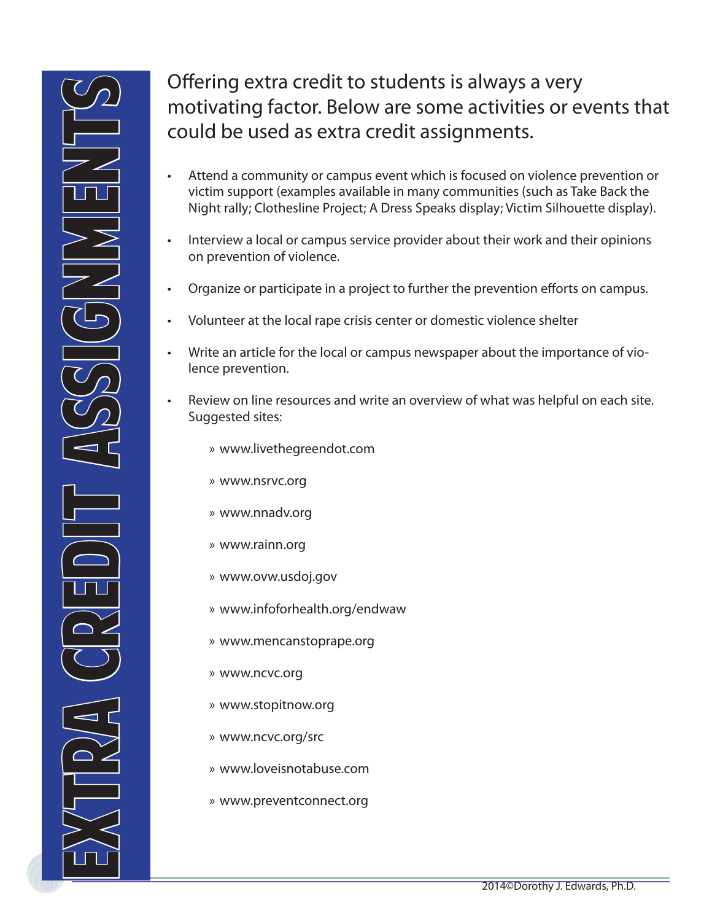**8**

## Offering extra credit to students is always a very motivating factor. Below are some activities or events that could be used as extra credit assignments.

- Attend a community or campus event which is focused on violence prevention or victim support (examples available in many communities (such as Take Back the Night rally; Clothesline Project; A Dress Speaks display; Victim Silhouette display).
- Interview a local or campus service provider about their work and their opinions on prevention of violence.
- Organize or participate in a project to further the prevention efforts on campus.
- Volunteer at the local rape crisis center or domestic violence shelter
- Write an article for the local or campus newspaper about the importance of violence prevention.
- Review on line resources and write an overview of what was helpful on each site. Suggested sites:
	- » www.livethegreendot.com
	- » www.nsrvc.org
	- » www.nnadv.org
	- » www.rainn.org
	- » www.ovw.usdoj.gov
	- » www.infoforhealth.org/endwaw
	- » www.mencanstoprape.org
	- » www.ncvc.org
	- » www.stopitnow.org
	- » www.ncvc.org/src
	- » www.loveisnotabuse.com
	- » www.preventconnect.org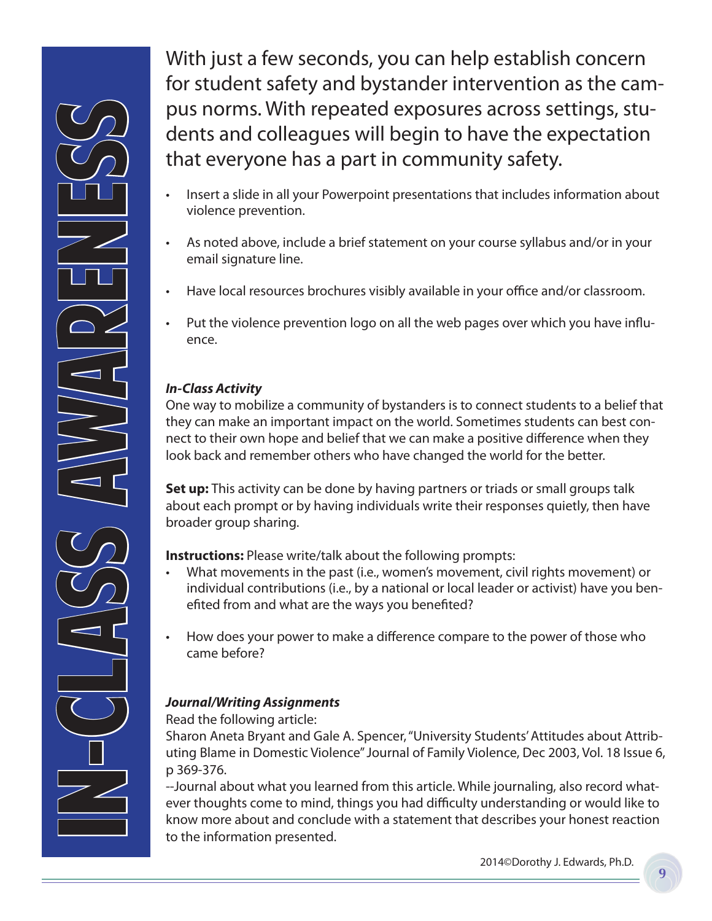IN-CLASS AWADERSS

With just a few seconds, you can help establish concern for student safety and bystander intervention as the campus norms. With repeated exposures across settings, students and colleagues will begin to have the expectation that everyone has a part in community safety.

- Insert a slide in all your Powerpoint presentations that includes information about violence prevention.
- As noted above, include a brief statement on your course syllabus and/or in your email signature line.
- Have local resources brochures visibly available in your office and/or classroom.
- Put the violence prevention logo on all the web pages over which you have influence.

#### *In-Class Activity*

One way to mobilize a community of bystanders is to connect students to a belief that they can make an important impact on the world. Sometimes students can best connect to their own hope and belief that we can make a positive difference when they look back and remember others who have changed the world for the better.

**Set up:** This activity can be done by having partners or triads or small groups talk about each prompt or by having individuals write their responses quietly, then have broader group sharing.

**Instructions:** Please write/talk about the following prompts:

- • What movements in the past (i.e., women's movement, civil rights movement) or individual contributions (i.e., by a national or local leader or activist) have you benefited from and what are the ways you benefited?
- • How does your power to make a difference compare to the power of those who came before?

#### *Journal/Writing Assignments*

Read the following article:

Sharon Aneta Bryant and Gale A. Spencer, "University Students' Attitudes about Attributing Blame in Domestic Violence" Journal of Family Violence, Dec 2003, Vol. 18 Issue 6, p 369-376.

--Journal about what you learned from this article. While journaling, also record whatever thoughts come to mind, things you had difficulty understanding or would like to know more about and conclude with a statement that describes your honest reaction to the information presented.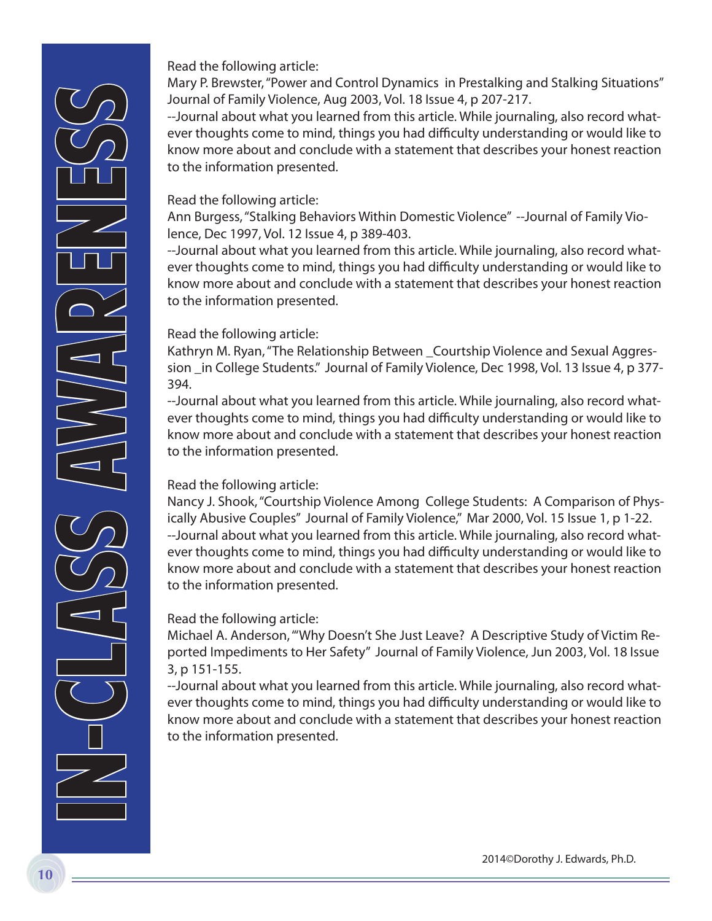Read the following article:

Mary P. Brewster, "Power and Control Dynamics in Prestalking and Stalking Situations" Journal of Family Violence, Aug 2003, Vol. 18 Issue 4, p 207-217.

--Journal about what you learned from this article. While journaling, also record whatever thoughts come to mind, things you had difficulty understanding or would like to know more about and conclude with a statement that describes your honest reaction to the information presented.

#### Read the following article:

Ann Burgess, "Stalking Behaviors Within Domestic Violence" --Journal of Family Violence, Dec 1997, Vol. 12 Issue 4, p 389-403.

--Journal about what you learned from this article. While journaling, also record whatever thoughts come to mind, things you had difficulty understanding or would like to know more about and conclude with a statement that describes your honest reaction to the information presented.

#### Read the following article:

Kathryn M. Ryan, "The Relationship Between \_Courtship Violence and Sexual Aggression \_in College Students." Journal of Family Violence, Dec 1998, Vol. 13 Issue 4, p 377- 394.

--Journal about what you learned from this article. While journaling, also record whatever thoughts come to mind, things you had difficulty understanding or would like to know more about and conclude with a statement that describes your honest reaction to the information presented.

#### Read the following article:

Nancy J. Shook, "Courtship Violence Among College Students: A Comparison of Physically Abusive Couples" Journal of Family Violence," Mar 2000, Vol. 15 Issue 1, p 1-22. --Journal about what you learned from this article. While journaling, also record whatever thoughts come to mind, things you had difficulty understanding or would like to know more about and conclude with a statement that describes your honest reaction to the information presented.

#### Read the following article:

Michael A. Anderson, "'Why Doesn't She Just Leave? A Descriptive Study of Victim Reported Impediments to Her Safety" Journal of Family Violence, Jun 2003, Vol. 18 Issue 3, p 151-155.

--Journal about what you learned from this article. While journaling, also record whatever thoughts come to mind, things you had difficulty understanding or would like to know more about and conclude with a statement that describes your honest reaction to the information presented.